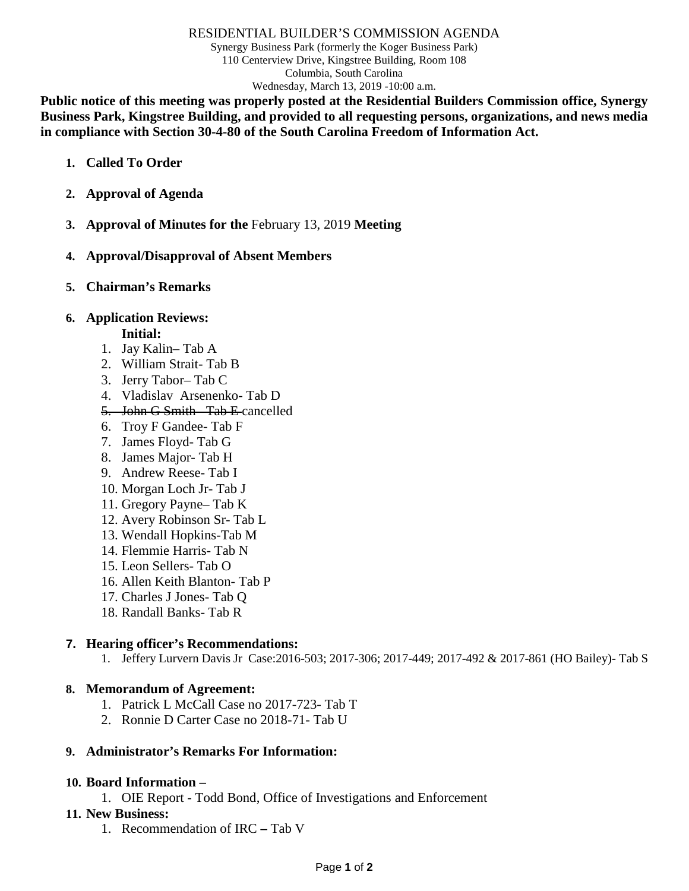#### RESIDENTIAL BUILDER'S COMMISSION AGENDA

Synergy Business Park (formerly the Koger Business Park) 110 Centerview Drive, Kingstree Building, Room 108 Columbia, South Carolina Wednesday, March 13, 2019 -10:00 a.m.

**Public notice of this meeting was properly posted at the Residential Builders Commission office, Synergy Business Park, Kingstree Building, and provided to all requesting persons, organizations, and news media in compliance with Section 30-4-80 of the South Carolina Freedom of Information Act.**

- **1. Called To Order**
- **2. Approval of Agenda**
- **3. Approval of Minutes for the** February 13, 2019 **Meeting**
- **4. Approval/Disapproval of Absent Members**
- **5. Chairman's Remarks**

### **6. Application Reviews:**

**Initial:**

- 1. Jay Kalin– Tab A
- 2. William Strait- Tab B
- 3. Jerry Tabor– Tab C
- 4. Vladislav Arsenenko- Tab D
- 5. John G Smith– Tab E cancelled
- 6. Troy F Gandee- Tab F
- 7. James Floyd- Tab G
- 8. James Major- Tab H
- 9. Andrew Reese- Tab I
- 10. Morgan Loch Jr- Tab J
- 11. Gregory Payne– Tab K
- 12. Avery Robinson Sr- Tab L
- 13. Wendall Hopkins-Tab M
- 14. Flemmie Harris- Tab N
- 15. Leon Sellers- Tab O
- 16. Allen Keith Blanton- Tab P
- 17. Charles J Jones- Tab Q
- 18. Randall Banks- Tab R

# **7. Hearing officer's Recommendations:**

1. Jeffery Lurvern Davis Jr Case:2016-503; 2017-306; 2017-449; 2017-492 & 2017-861 (HO Bailey)- Tab S

#### **8. Memorandum of Agreement:**

- 1. Patrick L McCall Case no 2017-723- Tab T
- 2. Ronnie D Carter Case no 2018-71- Tab U

# **9. Administrator's Remarks For Information:**

#### **10. Board Information –**

1. OIE Report - Todd Bond, Office of Investigations and Enforcement

# **11. New Business:**

1. Recommendation of IRC **–** Tab V